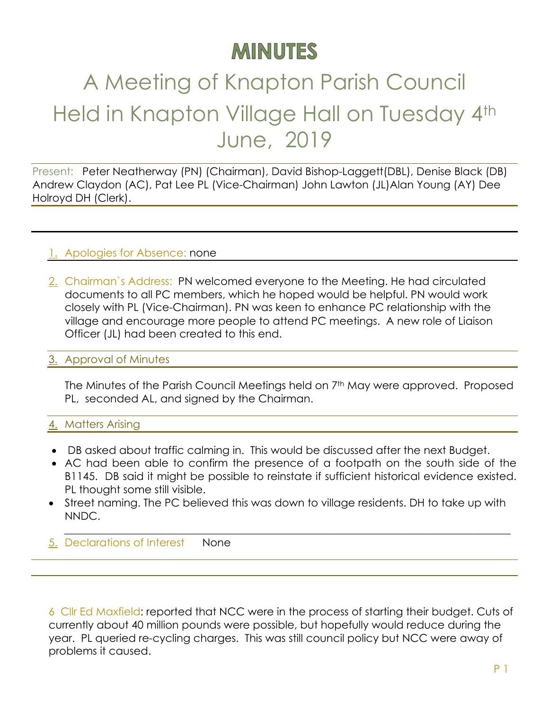## **MINUTES**

# A Meeting of Knapton Parish Council Held in Knapton Village Hall on Tuesday 4th June, 2019

Present: Peter Neatherway (PN) (Chairman), David Bishop-Laggett(DBL), Denise Black (DB) Andrew Claydon (AC), Pat Lee PL (Vice-Chairman) John Lawton (JL)Alan Young (AY) Dee Holroyd DH (Clerk).

#### 1. Apologies for Absence: none

2. Chairman`s Address: PN welcomed everyone to the Meeting. He had circulated documents to all PC members, which he hoped would be helpful. PN would work closely with PL (Vice-Chairman). PN was keen to enhance PC relationship with the village and encourage more people to attend PC meetings. A new role of Liaison Officer (JL) had been created to this end.

#### 3. Approval of Minutes

The Minutes of the Parish Council Meetings held on 7<sup>th</sup> May were approved. Proposed PL, seconded AL, and signed by the Chairman.

#### 4. Matters Arising

- DB asked about traffic calming in. This would be discussed after the next Budget.
- AC had been able to confirm the presence of a footpath on the south side of the B1145. DB said it might be possible to reinstate if sufficient historical evidence existed. PL thought some still visible.
- Street naming. The PC believed this was down to village residents. DH to take up with NNDC.

 $\_$  , and the set of the set of the set of the set of the set of the set of the set of the set of the set of the set of the set of the set of the set of the set of the set of the set of the set of the set of the set of th

5. Declarations of Interest None

6 Cllr Ed Maxfield: reported that NCC were in the process of starting their budget. Cuts of currently about 40 million pounds were possible, but hopefully would reduce during the year. PL queried re-cycling charges. This was still council policy but NCC were away of problems it caused.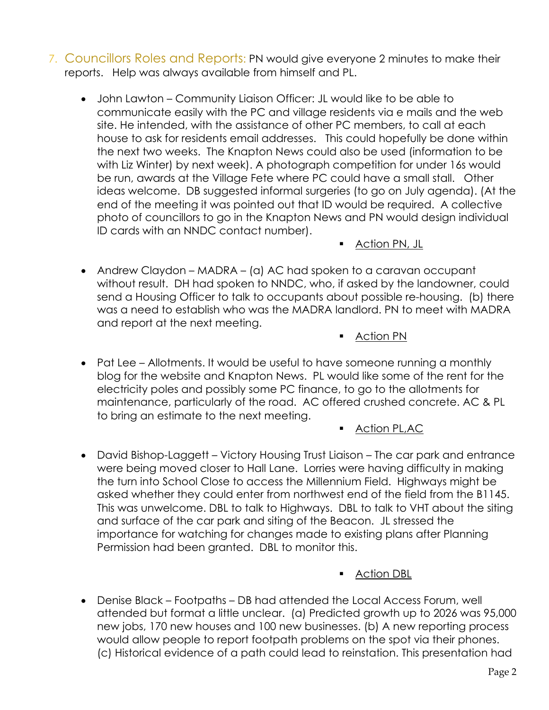- 7. Councillors Roles and Reports: PN would give everyone 2 minutes to make their reports. Help was always available from himself and PL.
	- John Lawton Community Liaison Officer: JL would like to be able to communicate easily with the PC and village residents via e mails and the web site. He intended, with the assistance of other PC members, to call at each house to ask for residents email addresses. This could hopefully be done within the next two weeks. The Knapton News could also be used (information to be with Liz Winter) by next week). A photograph competition for under 16s would be run, awards at the Village Fete where PC could have a small stall. Other ideas welcome. DB suggested informal surgeries (to go on July agenda). (At the end of the meeting it was pointed out that ID would be required. A collective photo of councillors to go in the Knapton News and PN would design individual ID cards with an NNDC contact number).
		- Action PN, JL
	- Andrew Claydon MADRA (a) AC had spoken to a caravan occupant without result. DH had spoken to NNDC, who, if asked by the landowner, could send a Housing Officer to talk to occupants about possible re-housing. (b) there was a need to establish who was the MADRA landlord. PN to meet with MADRA and report at the next meeting.
		- Action PN
	- Pat Lee Allotments. It would be useful to have someone running a monthly blog for the website and Knapton News. PL would like some of the rent for the electricity poles and possibly some PC finance, to go to the allotments for maintenance, particularly of the road. AC offered crushed concrete. AC & PL to bring an estimate to the next meeting.

#### ■ Action PL,AC

• David Bishop-Laggett – Victory Housing Trust Liaison – The car park and entrance were being moved closer to Hall Lane. Lorries were having difficulty in making the turn into School Close to access the Millennium Field. Highways might be asked whether they could enter from northwest end of the field from the B1145. This was unwelcome. DBL to talk to Highways. DBL to talk to VHT about the siting and surface of the car park and siting of the Beacon. JL stressed the importance for watching for changes made to existing plans after Planning Permission had been granted. DBL to monitor this.

#### ■ Action DBL

• Denise Black – Footpaths – DB had attended the Local Access Forum, well attended but format a little unclear. (a) Predicted growth up to 2026 was 95,000 new jobs, 170 new houses and 100 new businesses. (b) A new reporting process would allow people to report footpath problems on the spot via their phones. (c) Historical evidence of a path could lead to reinstation. This presentation had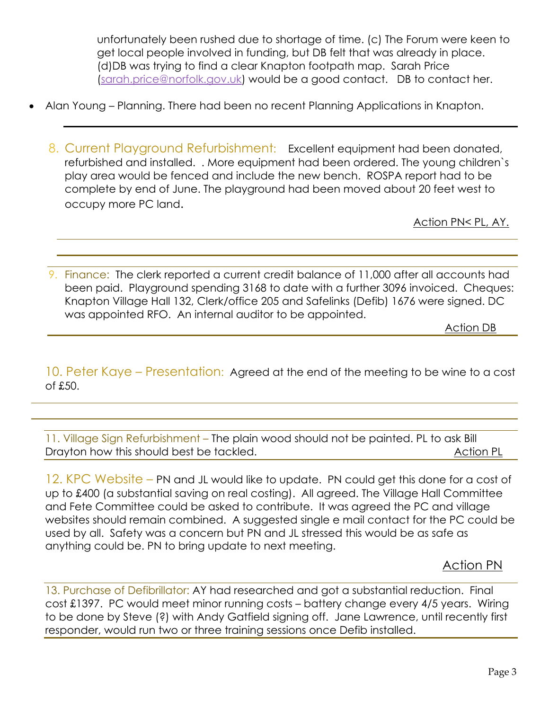unfortunately been rushed due to shortage of time. (c) The Forum were keen to get local people involved in funding, but DB felt that was already in place. (d)DB was trying to find a clear Knapton footpath map. Sarah Price (sarah.price@norfolk.gov.uk) would be a good contact. DB to contact her.

- Alan Young Planning. There had been no recent Planning Applications in Knapton.
	- 8. Current Playground Refurbishment: Excellent equipment had been donated, refurbished and installed. . More equipment had been ordered. The young children`s play area would be fenced and include the new bench. ROSPA report had to be complete by end of June. The playground had been moved about 20 feet west to occupy more PC land.

Action PN< PL, AY.

9. Finance: The clerk reported a current credit balance of 11,000 after all accounts had been paid. Playground spending 3168 to date with a further 3096 invoiced. Cheques: Knapton Village Hall 132, Clerk/office 205 and Safelinks (Defib) 1676 were signed. DC was appointed RFO. An internal auditor to be appointed.

Action DB

10. Peter Kaye – Presentation: Agreed at the end of the meeting to be wine to a cost of £50.

11. Village Sign Refurbishment – The plain wood should not be painted. PL to ask Bill Drayton how this should best be tackled. Drayton how this should best be tackled.

12. KPC Website – PN and JL would like to update. PN could get this done for a cost of up to £400 (a substantial saving on real costing). All agreed. The Village Hall Committee and Fete Committee could be asked to contribute. It was agreed the PC and village websites should remain combined. A suggested single e mail contact for the PC could be used by all. Safety was a concern but PN and JL stressed this would be as safe as anything could be. PN to bring update to next meeting.

Action PN

13. Purchase of Defibrillator: AY had researched and got a substantial reduction. Final cost £1397. PC would meet minor running costs – battery change every 4/5 years. Wiring to be done by Steve (?) with Andy Gatfield signing off. Jane Lawrence, until recently first responder, would run two or three training sessions once Defib installed.